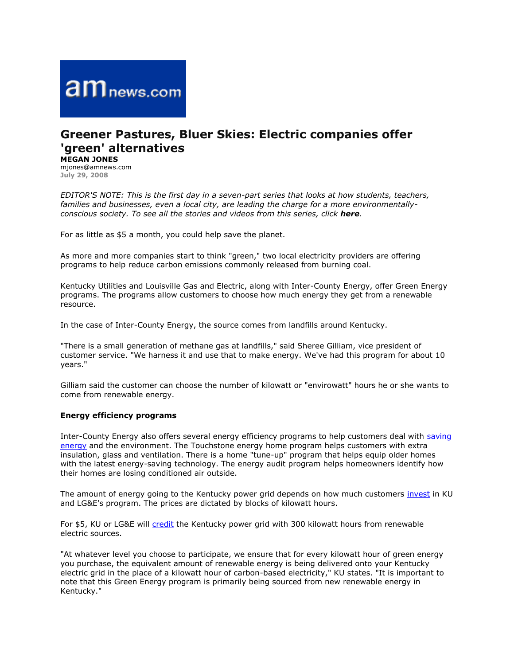

## **Greener Pastures, Bluer Skies: Electric companies offer 'green' alternatives MEGAN JONES**

mjones@amnews.com **July 29, 2008**

*EDITOR'S NOTE: This is the first day in a seven-part series that looks at how students, teachers, families and businesses, even a local city, are leading the charge for a more environmentallyconscious society. To see all the stories and videos from this series, click here.*

For as little as \$5 a month, you could help save the planet.

As more and more companies start to think "green," two local electricity providers are offering programs to help reduce carbon emissions commonly released from burning coal.

Kentucky Utilities and Louisville Gas and Electric, along with Inter-County Energy, offer Green Energy programs. The programs allow customers to choose how much energy they get from a renewable resource.

In the case of Inter-County Energy, the source comes from landfills around Kentucky.

"There is a small generation of methane gas at landfills," said Sheree Gilliam, vice president of customer service. "We harness it and use that to make energy. We've had this program for about 10 years."

Gilliam said the customer can choose the number of kilowatt or "envirowatt" hours he or she wants to come from renewable energy.

## **Energy efficiency programs**

Inter-County Energy also offers several energy efficiency programs to help customers deal with [saving](http://www.amnews.com/stories/2008/07/29/boy.42668.sto)  [energy](http://www.amnews.com/stories/2008/07/29/boy.42668.sto) and the environment. The Touchstone energy home program helps customers with extra insulation, glass and ventilation. There is a home "tune-up" program that helps equip older homes with the latest energy-saving technology. The energy audit program helps homeowners identify how their homes are losing conditioned air outside.

The amount of energy going to the Kentucky power grid depends on how much customers [invest](http://www.amnews.com/stories/2008/07/29/boy.42668.sto) in KU and LG&E's program. The prices are dictated by blocks of kilowatt hours.

For \$5, KU or LG&E will [credit](http://www.amnews.com/stories/2008/07/29/boy.42668.sto) the Kentucky power grid with 300 kilowatt hours from renewable electric sources.

"At whatever level you choose to participate, we ensure that for every kilowatt hour of green energy you purchase, the equivalent amount of renewable energy is being delivered onto your Kentucky electric grid in the place of a kilowatt hour of carbon-based electricity," KU states. "It is important to note that this Green Energy program is primarily being sourced from new renewable energy in Kentucky."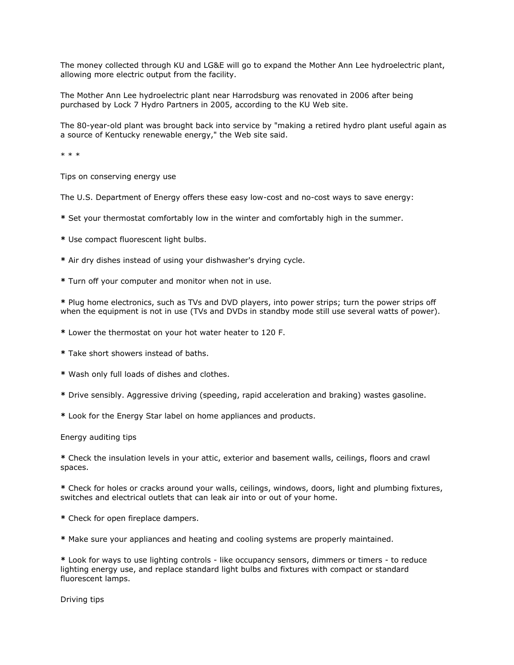The money collected through KU and LG&E will go to expand the Mother Ann Lee hydroelectric plant, allowing more electric output from the facility.

The Mother Ann Lee hydroelectric plant near Harrodsburg was renovated in 2006 after being purchased by Lock 7 Hydro Partners in 2005, according to the KU Web site.

The 80-year-old plant was brought back into service by "making a retired hydro plant useful again as a source of Kentucky renewable energy," the Web site said.

\* \* \*

Tips on conserving energy use

The U.S. Department of Energy offers these easy low-cost and no-cost ways to save energy:

- **\*** Set your thermostat comfortably low in the winter and comfortably high in the summer.
- **\*** Use compact fluorescent light bulbs.
- **\*** Air dry dishes instead of using your dishwasher's drying cycle.
- **\*** Turn off your computer and monitor when not in use.

**\*** Plug home electronics, such as TVs and DVD players, into power strips; turn the power strips off when the equipment is not in use (TVs and DVDs in standby mode still use several watts of power).

- **\*** Lower the thermostat on your hot water heater to 120 F.
- **\*** Take short showers instead of baths.
- **\*** Wash only full loads of dishes and clothes.
- **\*** Drive sensibly. Aggressive driving (speeding, rapid acceleration and braking) wastes gasoline.
- **\*** Look for the Energy Star label on home appliances and products.

Energy auditing tips

**\*** Check the insulation levels in your attic, exterior and basement walls, ceilings, floors and crawl spaces.

**\*** Check for holes or cracks around your walls, ceilings, windows, doors, light and plumbing fixtures, switches and electrical outlets that can leak air into or out of your home.

- **\*** Check for open fireplace dampers.
- **\*** Make sure your appliances and heating and cooling systems are properly maintained.

**\*** Look for ways to use lighting controls - like occupancy sensors, dimmers or timers - to reduce lighting energy use, and replace standard light bulbs and fixtures with compact or standard fluorescent lamps.

Driving tips